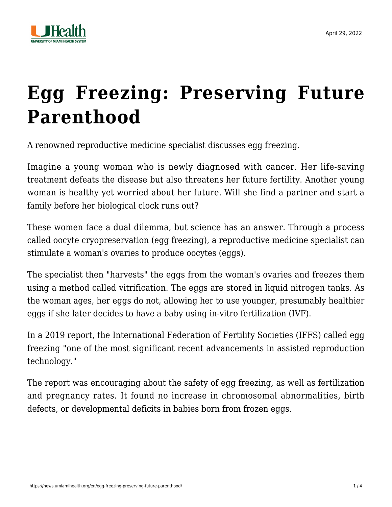

## **[Egg Freezing: Preserving Future](https://news.umiamihealth.org/en/egg-freezing-preserving-future-parenthood/) [Parenthood](https://news.umiamihealth.org/en/egg-freezing-preserving-future-parenthood/)**

A renowned reproductive medicine specialist discusses egg freezing.

Imagine a young woman who is newly diagnosed with cancer. Her life-saving treatment defeats the disease but also threatens her future fertility. Another young woman is healthy yet worried about her future. Will she find a partner and start a family before her biological clock runs out?

These women face a dual dilemma, but science has an answer. Through a process called oocyte cryopreservation (egg freezing), a reproductive medicine specialist can stimulate a woman's ovaries to produce oocytes (eggs).

The specialist then "harvests" the eggs from the woman's ovaries and freezes them using a method called vitrification. The eggs are stored in liquid nitrogen tanks. As the woman ages, her eggs do not, allowing her to use younger, presumably healthier eggs if she later decides to have a baby using [in-vitro fertilization](https://umiamihealth.org/treatments-and-services/fertility-center/in-vitro-fertilization-(ivf)) (IVF).

In a 2019 report, the International Federation of Fertility Societies (IFFS) called egg freezing "one of the most significant recent advancements in assisted reproduction technology."

The report was encouraging about the safety of egg freezing, as well as fertilization and pregnancy rates. It found no increase in chromosomal abnormalities, birth defects, or developmental deficits in babies born from frozen eggs.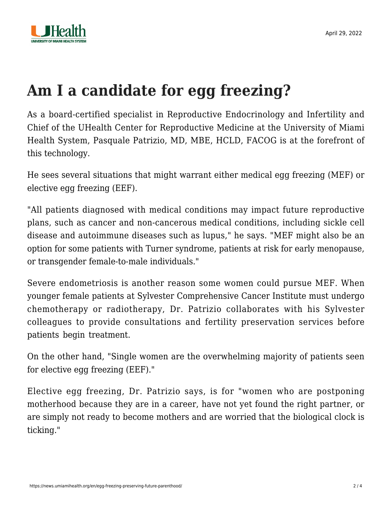

## **Am I a candidate for egg freezing?**

As a board-certified specialist in Reproductive Endocrinology and Infertility and Chief of the UHealth Center for Reproductive Medicine at the University of Miami Health System, [Pasquale Patrizio, MD, MBE, HCLD, FACOG](https://doctors.umiamihealth.org/provider/Pasquale+Patrizio/2056163?unified=patrizio&sort=relevance&tt=05fe48ca-e48b-45ba-b36b-10d482452fb9&ut=48a61286-0fa5-4d28-a291-df15b2678f1f×tamp=2022-02-10T16%3A34%3A56.307Z&from=search-list) is at the forefront of this technology.

He sees several situations that might warrant either medical egg freezing (MEF) or elective egg freezing (EEF).

"All patients diagnosed with medical conditions may impact future reproductive plans, such as cancer and non-cancerous medical conditions, including sickle cell disease and autoimmune diseases such as lupus," he says. "MEF might also be an option for some patients with Turner syndrome, patients at risk for early menopause, or transgender female-to-male individuals."

Severe endometriosis is another reason some women could pursue MEF. When younger female patients at Sylvester Comprehensive Cancer Institute must undergo chemotherapy or radiotherapy, Dr. Patrizio collaborates with his Sylvester colleagues to provide consultations and fertility preservation services before patients begin treatment.

On the other hand, "Single women are the overwhelming majority of patients seen for elective egg freezing (EEF)."

Elective egg freezing, Dr. Patrizio says, is for "women who are postponing motherhood because they are in a career, have not yet found the right partner, or are simply not ready to become mothers and are worried that the biological clock is ticking."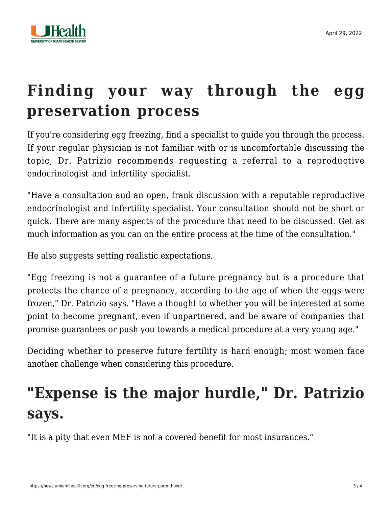

## **Finding your way through the egg preservation process**

If you're considering egg freezing, find a specialist to guide you through the process. If your regular physician is not familiar with or is uncomfortable discussing the topic, Dr. Patrizio recommends requesting a referral to a reproductive endocrinologist and infertility specialist.

"Have a consultation and an open, frank discussion with a reputable reproductive endocrinologist and infertility specialist. Your consultation should not be short or quick. There are many aspects of the procedure that need to be discussed. Get as much information as you can on the entire process at the time of the consultation."

He also suggests setting realistic expectations.

"Egg freezing is not a guarantee of a future pregnancy but is a procedure that protects the chance of a pregnancy, according to the age of when the eggs were frozen," Dr. Patrizio says. "Have a thought to whether you will be interested at some point to become pregnant, even if unpartnered, and be aware of companies that promise guarantees or push you towards a medical procedure at a very young age."

Deciding whether to preserve future fertility is hard enough; most women face another challenge when considering this procedure.

## **"Expense is the major hurdle," Dr. Patrizio says.**

"It is a pity that even MEF is not a covered benefit for most insurances."